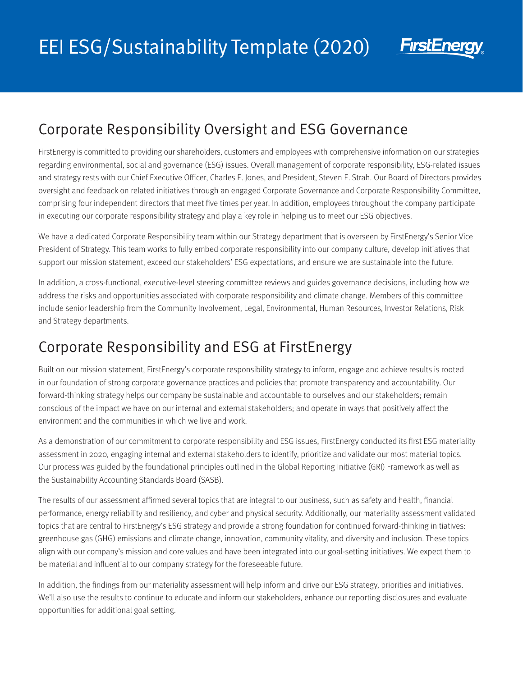

## Corporate Responsibility Oversight and ESG Governance

FirstEnergy is committed to providing our shareholders, customers and employees with comprehensive information on our strategies regarding environmental, social and governance (ESG) issues. Overall management of corporate responsibility, ESG-related issues and strategy rests with our Chief Executive Officer, Charles E. Jones, and President, Steven E. Strah. Our Board of Directors provides oversight and feedback on related initiatives through an engaged Corporate Governance and Corporate Responsibility Committee, comprising four independent directors that meet five times per year. In addition, employees throughout the company participate in executing our corporate responsibility strategy and play a key role in helping us to meet our ESG objectives.

We have a dedicated Corporate Responsibility team within our Strategy department that is overseen by FirstEnergy's Senior Vice President of Strategy. This team works to fully embed corporate responsibility into our company culture, develop initiatives that support our mission statement, exceed our stakeholders' ESG expectations, and ensure we are sustainable into the future.

In addition, a cross-functional, executive-level steering committee reviews and guides governance decisions, including how we address the risks and opportunities associated with corporate responsibility and climate change. Members of this committee include senior leadership from the Community Involvement, Legal, Environmental, Human Resources, Investor Relations, Risk and Strategy departments.

## Corporate Responsibility and ESG at FirstEnergy

Built on our mission statement, FirstEnergy's corporate responsibility strategy to inform, engage and achieve results is rooted in our foundation of strong corporate governance practices and policies that promote transparency and accountability. Our forward-thinking strategy helps our company be sustainable and accountable to ourselves and our stakeholders; remain conscious of the impact we have on our internal and external stakeholders; and operate in ways that positively affect the environment and the communities in which we live and work.

As a demonstration of our commitment to corporate responsibility and ESG issues, FirstEnergy conducted its first ESG materiality assessment in 2020, engaging internal and external stakeholders to identify, prioritize and validate our most material topics. Our process was guided by the foundational principles outlined in the Global Reporting Initiative (GRI) Framework as well as the Sustainability Accounting Standards Board (SASB).

The results of our assessment affirmed several topics that are integral to our business, such as safety and health, financial performance, energy reliability and resiliency, and cyber and physical security. Additionally, our materiality assessment validated topics that are central to FirstEnergy's ESG strategy and provide a strong foundation for continued forward-thinking initiatives: greenhouse gas (GHG) emissions and climate change, innovation, community vitality, and diversity and inclusion. These topics align with our company's mission and core values and have been integrated into our goal-setting initiatives. We expect them to be material and influential to our company strategy for the foreseeable future.

In addition, the findings from our materiality assessment will help inform and drive our ESG strategy, priorities and initiatives. We'll also use the results to continue to educate and inform our stakeholders, enhance our reporting disclosures and evaluate opportunities for additional goal setting.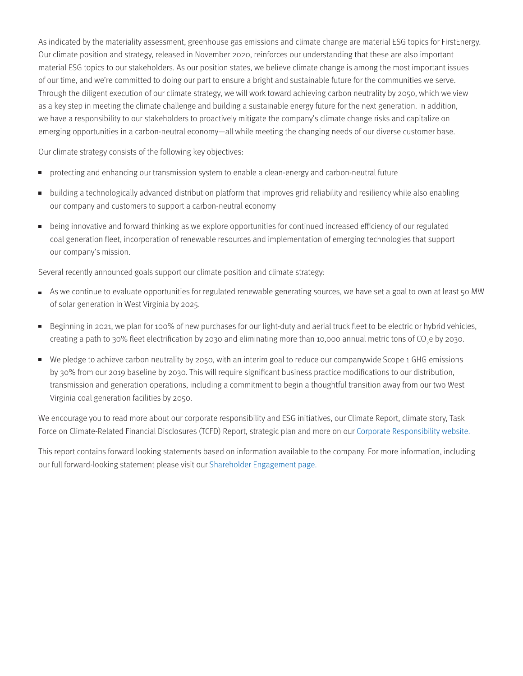As indicated by the materiality assessment, greenhouse gas emissions and climate change are material ESG topics for FirstEnergy. Our climate position and strategy, released in November 2020, reinforces our understanding that these are also important material ESG topics to our stakeholders. As our position states, we believe climate change is among the most important issues of our time, and we're committed to doing our part to ensure a bright and sustainable future for the communities we serve. Through the diligent execution of our climate strategy, we will work toward achieving carbon neutrality by 2050, which we view as a key step in meeting the climate challenge and building a sustainable energy future for the next generation. In addition, we have a responsibility to our stakeholders to proactively mitigate the company's climate change risks and capitalize on emerging opportunities in a carbon-neutral economy—all while meeting the changing needs of our diverse customer base.

Our climate strategy consists of the following key objectives:

- **Protecting and enhancing our transmission system to enable a clean-energy and carbon-neutral future**
- building a technologically advanced distribution platform that improves grid reliability and resiliency while also enabling our company and customers to support a carbon-neutral economy
- **Dearmon** being innovative and forward thinking as we explore opportunities for continued increased efficiency of our regulated coal generation fleet, incorporation of renewable resources and implementation of emerging technologies that support our company's mission.

Several recently announced goals support our climate position and climate strategy:

- As we continue to evaluate opportunities for regulated renewable generating sources, we have set a goal to own at least 50 MW of solar generation in West Virginia by 2025.
- Beginning in 2021, we plan for 100% of new purchases for our light-duty and aerial truck fleet to be electric or hybrid vehicles, creating a path to 30% fleet electrification by 2030 and eliminating more than 10,000 annual metric tons of CO<sub>2</sub>e by 2030.
- We pledge to achieve carbon neutrality by 2050, with an interim goal to reduce our companywide Scope 1 GHG emissions by 30% from our 2019 baseline by 2030. This will require significant business practice modifications to our distribution, transmission and generation operations, including a commitment to begin a thoughtful transition away from our two West Virginia coal generation facilities by 2050.

We encourage you to read more about our corporate responsibility and ESG initiatives, our Climate Report, climate story, Task Force on Climate-Related Financial Disclosures (TCFD) Report, strategic plan and more on our [Corporate Responsibility website.](http://www.fecorporateresponsibility.com)

This report contains forward looking statements based on information available to the company. For more information, including our full forward-looking statement please visit our [Shareholder Engagement page.](https://www.firstenergycorp.com/content/fecorp/investor/engagement.html)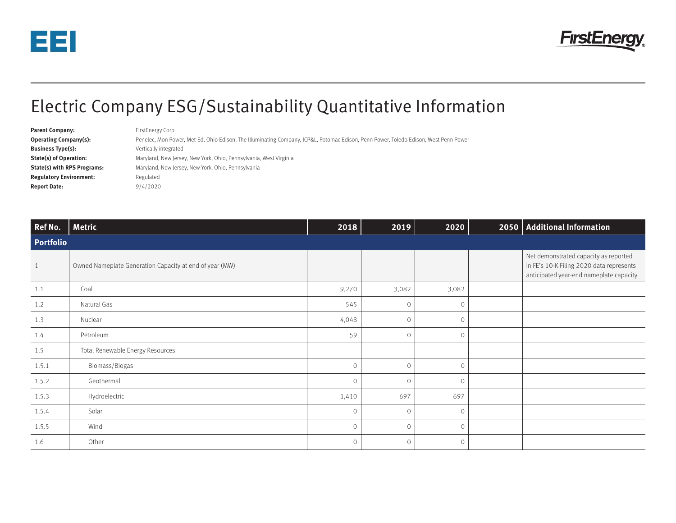



## Electric Company ESG/Sustainability Quantitative Information

| <b>Parent Company:</b>             | FirstEnergy Corp                                                                                                                     |
|------------------------------------|--------------------------------------------------------------------------------------------------------------------------------------|
| <b>Operating Company(s):</b>       | Penelec, Mon Power, Met-Ed, Ohio Edison, The Illuminating Company, JCP&L, Potomac Edison, Penn Power, Toledo Edison, West Penn Power |
| <b>Business Type(s):</b>           | Vertically integrated                                                                                                                |
| <b>State(s) of Operation:</b>      | Maryland, New Jersey, New York, Ohio, Pennsylvania, West Virginia                                                                    |
| <b>State(s) with RPS Programs:</b> | Maryland, New Jersey, New York, Ohio, Pennsylvania                                                                                   |
| <b>Regulatory Environment:</b>     | Regulated                                                                                                                            |
| <b>Report Date:</b>                | 9/4/2020                                                                                                                             |

| Ref No.          | <b>Metric</b>                                           | 2018    | 2019    | 2020    | 2050   Additional Information                                                                                                |
|------------------|---------------------------------------------------------|---------|---------|---------|------------------------------------------------------------------------------------------------------------------------------|
| <b>Portfolio</b> |                                                         |         |         |         |                                                                                                                              |
| $1\,$            | Owned Nameplate Generation Capacity at end of year (MW) |         |         |         | Net demonstrated capacity as reported<br>in FE's 10-K Filing 2020 data represents<br>anticipated year-end nameplate capacity |
| 1.1              | Coal                                                    | 9,270   | 3,082   | 3,082   |                                                                                                                              |
| 1.2              | Natural Gas                                             | 545     | $\circ$ | $\circ$ |                                                                                                                              |
| 1.3              | Nuclear                                                 | 4,048   | $\circ$ | $\circ$ |                                                                                                                              |
| 1.4              | Petroleum                                               | 59      | $\circ$ | $\circ$ |                                                                                                                              |
| 1.5              | Total Renewable Energy Resources                        |         |         |         |                                                                                                                              |
| 1.5.1            | Biomass/Biogas                                          | $\circ$ | $\circ$ | $\circ$ |                                                                                                                              |
| 1.5.2            | Geothermal                                              | $\circ$ | $\circ$ | $\circ$ |                                                                                                                              |
| 1.5.3            | Hydroelectric                                           | 1,410   | 697     | 697     |                                                                                                                              |
| 1.5.4            | Solar                                                   | $\circ$ | $\circ$ | $\circ$ |                                                                                                                              |
| 1.5.5            | Wind                                                    | $\circ$ | $\circ$ | $\circ$ |                                                                                                                              |
| 1.6              | Other                                                   | $\circ$ | $\circ$ | $\circ$ |                                                                                                                              |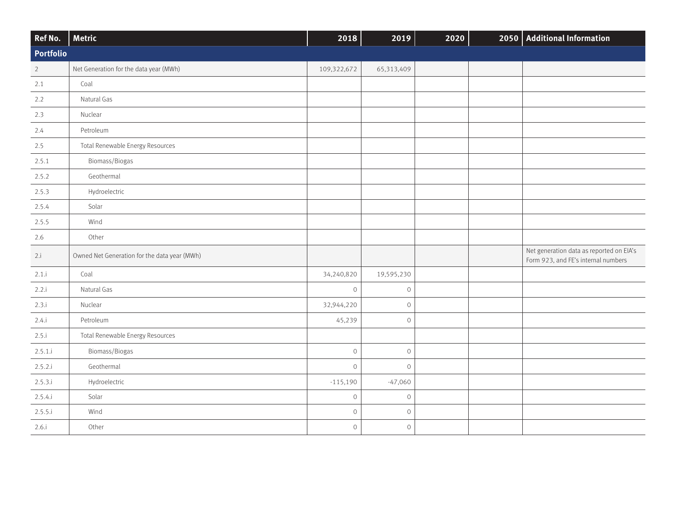| Ref No.        | <b>Metric</b>                                | 2018         | 2019        | 2020 |  | 2050   Additional Information                                                   |
|----------------|----------------------------------------------|--------------|-------------|------|--|---------------------------------------------------------------------------------|
| Portfolio      |                                              |              |             |      |  |                                                                                 |
| $\overline{2}$ | Net Generation for the data year (MWh)       | 109,322,672  | 65,313,409  |      |  |                                                                                 |
| 2.1            | Coal                                         |              |             |      |  |                                                                                 |
| 2.2            | Natural Gas                                  |              |             |      |  |                                                                                 |
| 2.3            | Nuclear                                      |              |             |      |  |                                                                                 |
| 2.4            | Petroleum                                    |              |             |      |  |                                                                                 |
| 2.5            | Total Renewable Energy Resources             |              |             |      |  |                                                                                 |
| 2.5.1          | Biomass/Biogas                               |              |             |      |  |                                                                                 |
| 2.5.2          | Geothermal                                   |              |             |      |  |                                                                                 |
| 2.5.3          | Hydroelectric                                |              |             |      |  |                                                                                 |
| 2.5.4          | Solar                                        |              |             |      |  |                                                                                 |
| 2.5.5          | Wind                                         |              |             |      |  |                                                                                 |
| 2.6            | Other                                        |              |             |      |  |                                                                                 |
| 2.i            | Owned Net Generation for the data year (MWh) |              |             |      |  | Net generation data as reported on EIA's<br>Form 923, and FE's internal numbers |
| 2.1.1          | Coal                                         | 34,240,820   | 19,595,230  |      |  |                                                                                 |
| 2.2.i          | Natural Gas                                  | $\circ$      | $\cal O$    |      |  |                                                                                 |
| 2.3.i          | Nuclear                                      | 32,944,220   | $\mathbf 0$ |      |  |                                                                                 |
| 2.4.i          | Petroleum                                    | 45,239       | $\mathbf 0$ |      |  |                                                                                 |
| 2.5.i          | Total Renewable Energy Resources             |              |             |      |  |                                                                                 |
| 2.5.1.i        | Biomass/Biogas                               | $\mathcal O$ | $\cal O$    |      |  |                                                                                 |
| 2.5.2.i        | Geothermal                                   | $\mathcal O$ | $\mathbf 0$ |      |  |                                                                                 |
| 2.5.3.i        | Hydroelectric                                | $-115,190$   | $-47,060$   |      |  |                                                                                 |
| 2.5.4.i        | Solar                                        | $\mathcal O$ | $\cal O$    |      |  |                                                                                 |
| 2.5.5.i        | Wind                                         | $\mathcal O$ | $\cal O$    |      |  |                                                                                 |
| 2.6.i          | Other                                        | $\mathsf O$  | $\cal O$    |      |  |                                                                                 |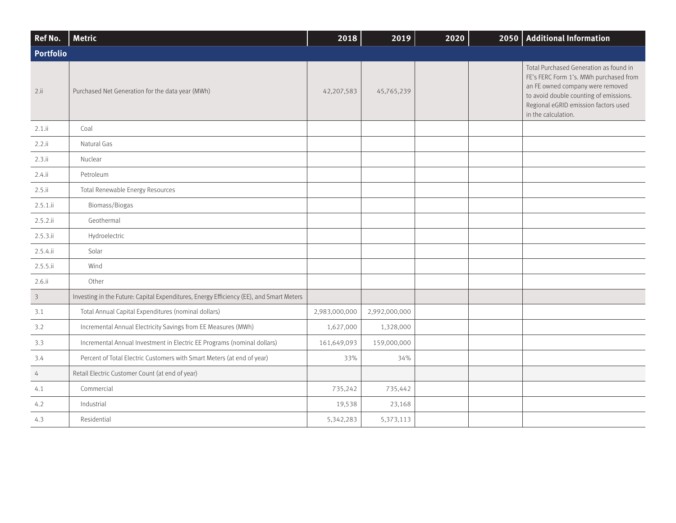| Ref No.                 | <b>Metric</b>                                                                           | 2018          | 2019          | 2020 | 2050   Additional Information                                                                                                                                                                                                 |
|-------------------------|-----------------------------------------------------------------------------------------|---------------|---------------|------|-------------------------------------------------------------------------------------------------------------------------------------------------------------------------------------------------------------------------------|
| Portfolio               |                                                                                         |               |               |      |                                                                                                                                                                                                                               |
| 2.1i                    | Purchased Net Generation for the data year (MWh)                                        | 42,207,583    | 45,765,239    |      | Total Purchased Generation as found in<br>FE's FERC Form 1's. MWh purchased from<br>an FE owned company were removed<br>to avoid double counting of emissions.<br>Regional eGRID emission factors used<br>in the calculation. |
| $2.1$ .ii               | Coal                                                                                    |               |               |      |                                                                                                                                                                                                                               |
| $2.2$ .ii               | Natural Gas                                                                             |               |               |      |                                                                                                                                                                                                                               |
| 2.3.ii                  | Nuclear                                                                                 |               |               |      |                                                                                                                                                                                                                               |
| 2.4.1i                  | Petroleum                                                                               |               |               |      |                                                                                                                                                                                                                               |
| $2.5$ .ii               | Total Renewable Energy Resources                                                        |               |               |      |                                                                                                                                                                                                                               |
| $2.5.1.$ ii             | Biomass/Biogas                                                                          |               |               |      |                                                                                                                                                                                                                               |
| 2.5.2.1i                | Geothermal                                                                              |               |               |      |                                                                                                                                                                                                                               |
| 2.5.3.1i                | Hydroelectric                                                                           |               |               |      |                                                                                                                                                                                                                               |
| 2.5.4.1i                | Solar                                                                                   |               |               |      |                                                                                                                                                                                                                               |
| 2.5.5.1i                | Wind                                                                                    |               |               |      |                                                                                                                                                                                                                               |
| $2.6.$ ii               | Other                                                                                   |               |               |      |                                                                                                                                                                                                                               |
| $\overline{\mathbf{3}}$ | Investing in the Future: Capital Expenditures, Energy Efficiency (EE), and Smart Meters |               |               |      |                                                                                                                                                                                                                               |
| 3.1                     | Total Annual Capital Expenditures (nominal dollars)                                     | 2,983,000,000 | 2,992,000,000 |      |                                                                                                                                                                                                                               |
| 3.2                     | Incremental Annual Electricity Savings from EE Measures (MWh)                           | 1,627,000     | 1,328,000     |      |                                                                                                                                                                                                                               |
| 3.3                     | Incremental Annual Investment in Electric EE Programs (nominal dollars)                 | 161,649,093   | 159,000,000   |      |                                                                                                                                                                                                                               |
| 3.4                     | Percent of Total Electric Customers with Smart Meters (at end of year)                  | 33%           | 34%           |      |                                                                                                                                                                                                                               |
| $\overline{4}$          | Retail Electric Customer Count (at end of year)                                         |               |               |      |                                                                                                                                                                                                                               |
| 4.1                     | Commercial                                                                              | 735,242       | 735,442       |      |                                                                                                                                                                                                                               |
| 4.2                     | Industrial                                                                              | 19,538        | 23,168        |      |                                                                                                                                                                                                                               |
| 4.3                     | Residential                                                                             | 5,342,283     | 5,373,113     |      |                                                                                                                                                                                                                               |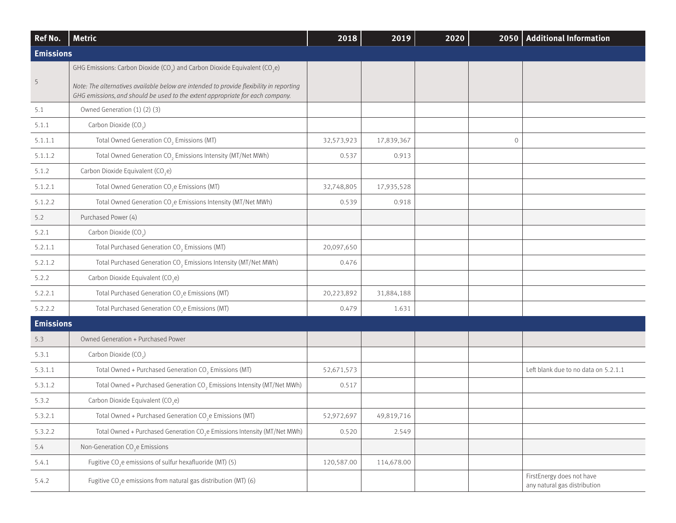| Ref No.          | <b>Metric</b>                                                                                                                                                            | 2018       | 2019       | 2020 | 2050    | <b>Additional Information</b>                             |
|------------------|--------------------------------------------------------------------------------------------------------------------------------------------------------------------------|------------|------------|------|---------|-----------------------------------------------------------|
| <b>Emissions</b> |                                                                                                                                                                          |            |            |      |         |                                                           |
|                  | GHG Emissions: Carbon Dioxide (CO <sub>2</sub> ) and Carbon Dioxide Equivalent (CO <sub>2</sub> e)                                                                       |            |            |      |         |                                                           |
| 5                | Note: The alternatives available below are intended to provide flexibility in reporting<br>GHG emissions, and should be used to the extent appropriate for each company. |            |            |      |         |                                                           |
| 5.1              | Owned Generation (1) (2) (3)                                                                                                                                             |            |            |      |         |                                                           |
| 5.1.1            | Carbon Dioxide (CO <sub>2</sub> )                                                                                                                                        |            |            |      |         |                                                           |
| 5.1.1.1          | Total Owned Generation CO <sub>2</sub> Emissions (MT)                                                                                                                    | 32,573,923 | 17,839,367 |      | $\circ$ |                                                           |
| 5.1.1.2          | Total Owned Generation CO <sub>2</sub> Emissions Intensity (MT/Net MWh)                                                                                                  | 0.537      | 0.913      |      |         |                                                           |
| 5.1.2            | Carbon Dioxide Equivalent (CO <sub>2</sub> e)                                                                                                                            |            |            |      |         |                                                           |
| 5.1.2.1          | Total Owned Generation CO <sub>2</sub> e Emissions (MT)                                                                                                                  | 32,748,805 | 17,935,528 |      |         |                                                           |
| 5.1.2.2          | Total Owned Generation CO <sub>2</sub> e Emissions Intensity (MT/Net MWh)                                                                                                | 0.539      | 0.918      |      |         |                                                           |
| 5.2              | Purchased Power (4)                                                                                                                                                      |            |            |      |         |                                                           |
| 5.2.1            | Carbon Dioxide (CO <sub>2</sub> )                                                                                                                                        |            |            |      |         |                                                           |
| 5.2.1.1          | Total Purchased Generation CO <sub>2</sub> Emissions (MT)                                                                                                                | 20,097,650 |            |      |         |                                                           |
| 5.2.1.2          | Total Purchased Generation CO <sub>2</sub> Emissions Intensity (MT/Net MWh)                                                                                              | 0.476      |            |      |         |                                                           |
| 5.2.2            | Carbon Dioxide Equivalent (CO <sub>2</sub> e)                                                                                                                            |            |            |      |         |                                                           |
| 5.2.2.1          | Total Purchased Generation CO <sub>2</sub> e Emissions (MT)                                                                                                              | 20,223,892 | 31,884,188 |      |         |                                                           |
| 5.2.2.2          | Total Purchased Generation CO <sub>2</sub> e Emissions (MT)                                                                                                              | 0.479      | 1.631      |      |         |                                                           |
| <b>Emissions</b> |                                                                                                                                                                          |            |            |      |         |                                                           |
| 5.3              | Owned Generation + Purchased Power                                                                                                                                       |            |            |      |         |                                                           |
| 5.3.1            | Carbon Dioxide (CO <sub>2</sub> )                                                                                                                                        |            |            |      |         |                                                           |
| 5.3.1.1          | Total Owned + Purchased Generation CO <sub>2</sub> Emissions (MT)                                                                                                        | 52,671,573 |            |      |         | Left blank due to no data on 5.2.1.1                      |
| 5.3.1.2          | Total Owned + Purchased Generation CO <sub>2</sub> Emissions Intensity (MT/Net MWh)                                                                                      | 0.517      |            |      |         |                                                           |
| 5.3.2            | Carbon Dioxide Equivalent (CO <sub>2</sub> e)                                                                                                                            |            |            |      |         |                                                           |
| 5.3.2.1          | Total Owned + Purchased Generation CO <sub>2</sub> e Emissions (MT)                                                                                                      | 52,972,697 | 49,819,716 |      |         |                                                           |
| 5.3.2.2          | Total Owned + Purchased Generation CO <sub>2</sub> e Emissions Intensity (MT/Net MWh)                                                                                    | 0.520      | 2.549      |      |         |                                                           |
| 5.4              | Non-Generation CO <sub>2</sub> e Emissions                                                                                                                               |            |            |      |         |                                                           |
| 5.4.1            | Fugitive CO <sub>2</sub> e emissions of sulfur hexafluoride (MT) (5)                                                                                                     | 120,587.00 | 114,678.00 |      |         |                                                           |
| 5.4.2            | Fugitive CO <sub>2</sub> e emissions from natural gas distribution (MT) (6)                                                                                              |            |            |      |         | FirstEnergy does not have<br>any natural gas distribution |